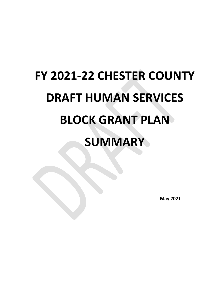# **FY 2021-22 CHESTER COUNTY DRAFT HUMAN SERVICES BLOCK GRANT PLAN SUMMARY**

**May 2021**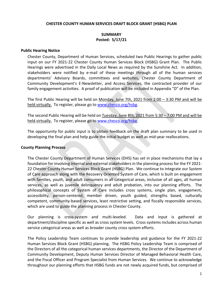#### **CHESTER COUNTY HUMAN SERVICES DRAFT BLOCK GRANT (HSBG) PLAN**

## **SUMMARY Posted: 5/17/21**

#### **Public Hearing Notice**

Chester County, Department of Human Services, scheduled two Public Hearings to gather public input on our FY 2021-22 Chester County Human Services Block (HSBG) Grant Plan. The Public Hearings were advertised in the Daily Local News as required by the Sunshine Act. In addition, stakeholders were notified by e-mail of these meetings through all of the human services departments' Advisory Boards, committees and websites, Chester County Department of Community Development's E-Newsletter, and Access Services, the contracted provider of our family engagement activities. A proof of publication will be included in Appendix "D" of the Plan.

The first Public Hearing will be held on Monday, June 7th, 2021 from 2:00 – 3:30 PM and will be held virtually. To register, please go to [www.chesco.org/hsbg.](http://www.chesco.org/hsbg)

The second Public Hearing will be held on Tuesday, June 8th, 2021 from 5:30 – 7:00 PM and will be held virtually. To register, please go to [www.chesco.org/hsbg.](http://www.chesco.org/hsbg)

The opportunity for public input is to obtain feedback on the draft plan summary to be used in developing the final plan and help guide the initial budget as well as mid-year reallocations.

#### **County Planning Process**

The Chester County Department of Human Services (DHS) has set in place mechanisms that lay a foundation for involving internal and external stakeholders in the planning process for the FY 2021- 22 Chester County Human Services Block Grant (HSBG) Plan. We continue to integrate our System of Care approach along with the Recovery Oriented System of Care, which is built on engagement with families, youth, and adult consumers in all categorical areas, inclusive of all ages, all human services, as well as juvenile delinquency and adult probation, into our planning efforts. The philosophical concepts of System of Care includes cross systems, single plan, engagement, accessibility, person-centered, member driven, youth guided, strengths based, culturally competent, community-based services, least restrictive setting, and fiscally responsible services, which are used to guide the planning process in Chester County.

Our planning is cross-system and multi-leveled. Data and input is gathered at department/discipline specific as well as cross system levels. Cross systems includes across human service categorical areas as well as broader county cross system efforts.

The Policy Leadership Team continues to provide leadership and guidance for the FY 2021-22 Human Services Block Grant (HSBG) planning. The HSBG Policy Leadership Team is comprised of the Directors of all the categorical human services departments, the Director of the Department of Community Development, Deputy Human Services Director of Managed Behavioral Health Care, and the Fiscal Officer and Program Specialist from Human Services. We continue to acknowledge throughout our planning efforts that HSBG funds are not newly acquired funds, but comprised of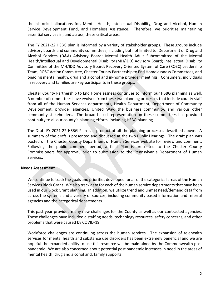the historical allocations for, Mental Health, Intellectual Disability, Drug and Alcohol, Human Service Development Fund, and Homeless Assistance. Therefore, we prioritize maintaining essential services in, and across, these critical areas.

The FY 2021-22 HSBG plan is informed by a variety of stakeholder groups. These groups include advisory boards and community committees, including but not limited to: Department of Drug and Alcohol Services (D&A) Advisory Board; Mental Health Adult Subcommittee of the Mental Health/Intellectual and Developmental Disability (MH/IDD) Advisory Board; Intellectual Disability Committee of the MH/IDD Advisory Board; Recovery Oriented System of Care (ROSC) Leadership Team, ROSC Action Committee, Chester County Partnership to End Homelessness Committees, and ongoing mental health, drug and alcohol and in-home provider meetings. Consumers, individuals in recovery and families are key participants in these groups.

Chester County Partnership to End Homelessness continues to inform our HSBG planning as well. A number of committees have evolved from these two planning processes that include county staff from all of the Human Services departments, Health Department, Department of Community Development, provider agencies, United Way, the business community, and various other community stakeholders. The broad based representation on these committees has provided continuity to all our county's planning efforts, including HSBG planning.

The Draft FY 2021-22 HSBG Plan is a product of all the planning processes described above. A summary of the draft is presented and discussed at the two Public Hearings. The draft plan was posted on the Chester County Department of Human Services website for review and comment. Following the public comment period, a final Plan is presented to the Chester County Commissioners for approval, prior to submission to the Pennsylvania Department of Human Services.

## **Needs Assessment**

We continue to track the goals and priorities developed for all of the categorical areas of the Human Services Block Grant. We also track data for each of the human service departments that have been used in our Block Grant planning. In addition, we utilize trend and unmet need/demand data from across the systems and a variety of sources, including community based information and referral agencies and the categorical departments.

This past year provided many new challenges for the County as well as our contracted agencies. These challenges have included d staffing needs, technology resources, safety concerns, and other problems that were caused by COVID-19.

Workforce challenges are continuing across the human services. The expansion of telehealth services for mental health and substance use disorders has been extremely beneficial and we are hopeful the expanded ability to use this resource will be maintained by the Commonwealth post pandemic. We are also concerned about potential post pandemic increases in need in the areas of mental health, drug and alcohol and, family supports.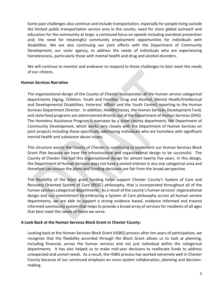Some past challenges also continue and include transportation, especially for people living outside the limited public transportation service area in the county; need for more global outreach and education for the community at large; a continued focus on opioids including overdose prevention and; the need for meaningful community employment opportunities for individuals with disabilities. We are also continuing our joint efforts with the Department of Community Development, our sister agency, to address the needs of individuals who are experiencing homelessness, particularly those with mental health and drug and alcohol disorders.

We will continue to monitor and endeavor to respond to these challenges to best meet the needs of our citizens.

#### **Human Services Narrative**

The organizational design of the County of Chester incorporates all the human service categorical departments (Aging, Children, Youth and Families, Drug and Alcohol, Mental Health/Intellectual and Developmental Disabilities, Veterans' Affairs and the Youth Center) reporting to the Human Services Department Director. In addition, HealthChoices, the Human Services Development Fund, and state food programs are administered directly out of the Department of Human Services (DHS). The Homeless Assistance Program is overseen by a sister county department, the Department of Community Development, which works very closely with the Department of Human Services on joint projects including those specifically addressing individuals who are homeless with significant mental health and substance abuse issues.

This structure assists the County of Chester in continuing to implement our Human Services Block Grant Plan because we have the infrastructure and organizational design to be successful. The County of Chester has had this organizational design for almost twenty five years. In this design, the Department of Human Services does not have a vested interest in any one categorical area and therefore can ensure the plans and funding decisions are fair from the broad perspective.

The flexibility of the block grant funding helps support Chester County's System of Care and Recovery Oriented System of Care (ROSC) philosophy, that is incorporated throughout all of the human services categorical departments. As a result of the county's human services' organizational design and our commitment to embracing a System of Care philosophy across all human service departments, we are able to support a strong evidence based, evidence informed and trauma informed community system that helps to provide a broad array of services for residents of all ages that best meet the needs of those we serve.

## **A Look Back at the Human Services Block Grant in Chester County:**

Looking back at the Human Services Block Grant (HSBG) process after ten years of participation, we recognize that the flexibility accorded through the Block Grant allows us to look at planning, including financial, across the human services and not just individual within the categorical departments. It has also helped us to make mid-year decisions to reallocate funds to address unexpected and unmet needs. As a result, the HSBG process has worked extremely well in Chester County because of our continued emphasis on cross-system collaboration, planning and decisionmaking.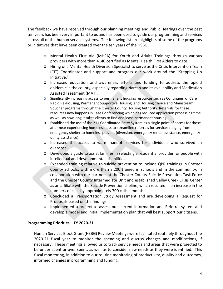The feedback we have received through our planning meetings and Public Hearings over the past ten years has been very important to us and has been used to guide our programming and services across all of the human service systems. The following list are highlights of some of the programs or initiatives that have been created over the ten years of the HSBG.

- o Mental Health First Aid (MHFA) for Youth and Adults Trainings through various providers with more than 4140 certified as Mental Health First Aiders to date.
- o Hiring of a Mental Health Diversion Specialist to serve as the Crisis Intervention Team (CIT) Coordinator and support and progress our work around the "Stepping Up Initiative."
- o Increased education and awareness efforts and funding to address the opioid epidemic in the county, especially regarding Narcan and its availability and Medication Assisted Treatment (MAT).
- o Significantly increasing access to permanent housing resources such as Continuum of Care Rapid Re-Housing, Permanent Supportive Housing, and Housing Choice and Mainstream Voucher programs through the Chester County Housing Authority. Referrals for these resources now happens in Case Conferencing which has reduced application processing time as well as how long it takes clients to find and lease permanent housing.
- o Established the use of the 211 Coordinated Entry System as a single point of access for those at or near experiencing homelessness to streamline referrals for services ranging from emergency shelter to homeless prevent (diversion, emergency rental assistance, emergency utility assistance).
- o Increased the access to warm handoff services for individuals who survived an overdose.
- o Developed a guide to assist families in selecting a residential provider for people with intellectual and developmental disabilities.
- o Expanded training relative to suicide prevention to include QPR trainings in Chester County Schools, with more than 3,200 trained in schools and in the community, in collaboration with our partners at the Chester County Suicide Prevention Task Force and the Chester County Intermediate Unit and established Valley Creek Crisis Center as an affiliate with the Suicide Prevention Lifeline, which resulted in an increase in the numbers of calls by approximately 700 calls a month.
- o Concluded a Transportation Study Assessment and are developing a Request for Proposals based on the findings.
- o Implemented a project to assess our current Information and Referral system and develop a model and initial implementation plan that will best support our citizens.

## **Programming Priorities – FY 2020-21**

Human Services Block Grant (HSBG) Review Meetings were facilitated routinely throughout the 2020-21 fiscal year to monitor the spending and discuss changes and modifications, if necessary. These meetings allowed us to track service needs and areas that were projected to be under spent or over spent, as well as to consider new needs as they were identified. This fiscal monitoring, in addition to our routine monitoring of productivity, quality and outcomes, informed changes in programming and funding.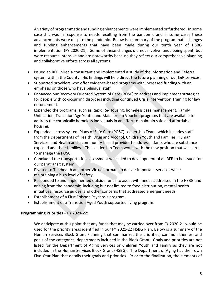A variety of programmatic and funding enhancements were implemented or furthered. In some case this was in response to needs resulting from the pandemic and in some cases these advancements were despite the pandemic. Below is a summary of the programmatic changes and funding enhancements that have been made during our tenth year of HSBG implementation (FY 2020-21). Some of these changes did not involve funds being spent, but were resource intensive and are noteworthy because they reflect our comprehensive planning and collaborative efforts across all systems.

- Issued an RFP, hired a consultant and implemented a study of the Information and Referral system within the County. His findings will help direct the future planning of our I&R services.
- Supported providers who offer evidence-based programs with increased funding with an emphasis on those who have bilingual staff.
- Enhanced our Recovery Oriented System of Care (ROSC) to address and implement strategies for people with co-occurring disorders including continued Crisis Intervention Training for law enforcement.
- Expanded the programs, such as Rapid Re-Housing, homeless case management, Family Unification, Transition Age Youth, and Mainstream Voucher programs that are available to address the chronically homeless individuals in an effort to maintain safe and affordable housing.
- Expanded a cross-system Plans of Safe Care (POSC) Leadership Team, which includes staff from the Departments of Health, Drug and Alcohol, Children Youth and Families, Human Services, and Health and a community-based provider to address infants who are substance exposed and their families. The Leadership Team works with the new position that was hired to manage the POSC.
- Concluded the transportation assessment which led to development of an RFP to be issued for our paratransit system.
- Pivoted to Telehealth and other Virtual formats to deliver important services while maintaining a high level of safety.
- Responded to and implemented outside funds to assist with needs addressed in the HSBG and arising from the pandemic, including but not limited to food distribution, mental health initiatives, resource guides, and other concerns that addressed emergent needs.
- Establishment of a First Episode Psychosis program.
- Establishment of a Transition Aged Youth supported living program.

## **Programming Priorities – FY 2021-22:**

We anticipate at this point that any funds that may be carried over from FY 2020-21 would be used for the priority areas identified in our FY 2021-22 HSBG Plan. Below is a summary of the Human Services Block Grant Planning that summarizes the priorities, common themes, and goals of the categorical departments included in the Block Grant. Goals and priorities are not listed for the Department of Aging Services or Children Youth and Family as they are not included in the Human Services Block Grant (HSBG). The Department of Aging has their own Five-Year Plan that details their goals and priorities. Prior to the finalization, the elements of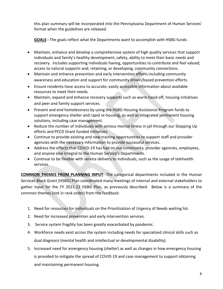this plan summary will be incorporated into the Pennsylvania Department of Human Services' format when the guidelines are released.

**GOALS -** The goals reflect what the Departments want to accomplish with HSBG funds:

- Maintain, enhance and develop a comprehensive system of high quality services that support individuals and family's healthy development, safety, ability to meet their basic needs and recovery. Includes supporting individuals having, opportunities to contribute and feel valued; access to natural supports and; retaining, or developing, community connections.
- Maintain and enhance prevention and early intervention efforts including community awareness and education and support for community driven/based prevention efforts.
- Ensure residents have access to accurate, easily accessible information about available resources to meet their needs.
- Maintain, expand and enhance recovery supports such as warm hand-off, housing initiatives and peer and family support services.
- Prevent and end homelessness by using the HSBG Housing Assistance Program funds to support emergency shelter and rapid re-housing, as well as integrated permanent housing solutions, including case management.
- Reduce the number of individuals with serious mental illness in jail through our Stepping Up efforts and PCCD Grant funded initiatives.
- Continue to provide existing and new training opportunities to support staff and provider agencies with the necessary information to provide successful services.
- Address the effects that COVID-19 has had on our community, provider agencies, employees, and anyone else integral to the Human Service's Departments.
- Continue to be flexible with service delivery to individuals, such as the usage of telehealth services.

**COMMON THEMES FROM PLANNING INPUT-** The categorical departments included in the Human Services Block Grant (HSBG) Plan coordinated many meetings of internal and external stakeholders to gather input for the FY 2021-22 HSBG Plan, as previously described. Below is a summary of the common themes (not in rank order) from the feedback:

- 1. Need for resources for individuals on the Prioritization of Urgency of Needs waiting list.
- 2. Need for increased prevention and early intervention services.
- 3. Service system fragility has been greatly exacerbated by pandemic.
- 4. Workforce needs exist across the system including needs for specialized clinical skills such as dual diagnosis (mental health and intellectual or developmental disability).
- 5. Increased need for emergency housing (shelter) as well as changes in how emergency housing is provided to mitigate the spread of COVID-19 and case management to support obtaining and maintaining permanent housing.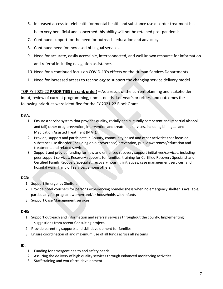- 6. Increased access to telehealth for mental health and substance use disorder treatment has been very beneficial and concerned this ability will not be retained post pandemic.
- 7. Continued support for the need for outreach, education and advocacy.
- 8. Continued need for increased bi-lingual services.
- 9. Need for accurate, easily accessible, interconnected, and well known resource for information and referral including navigation assistance.
- 10. Need for a continued focus on COVID-19's effects on the Human Services Departments
- 11. Need for increased access to technology to support the changing service delivery model

TOP FY 2021-22 **PRIORITIES (in rank order)** – As a result of the current planning and stakeholder input, review of current programming, unmet needs, last year's priorities, and outcomes the following priorities were identified for the FY 2021-22 Block Grant.

#### **D&A:**

- 1. Ensure a service system that provides quality, racially and culturally competent and impartial alcohol and (all) other drug prevention, intervention and treatment services, including bi-lingual and Medication Assisted Treatment (MAT).
- 2. Provide, support and participate in County, community based and other activities that focus on substance use disorder (including opioid/overdose) prevention, public awareness/education and treatment, and related services.
- 3. Support and provide funding for new and enhanced recovery support initiatives/services, including peer support services, Recovery supports for families, training for Certified Recovery Specialist and Certified Family Recovery Specialist, recovery housing initiatives, case management services, and hospital warm hand off services, among others.

## **DCD:**

- 1. Support Emergency Shelters
- 2. Provide hotel vouchers for persons experiencing homelessness when no emergency shelter is available, particularly for pregnant women and/or households with infants
- 3. Support Case Management services

#### **DHS:**

- 1. Support outreach and information and referral services throughout the county. Implementing suggestions from recent Consulting project.
- 2. Provide parenting supports and skill development for families
- 3. Ensure coordination of and maximum use of all funds across all systems

#### **ID:**

- 1. Funding for emergent health and safety needs
- 2. Assuring the delivery of high quality services through enhanced monitoring activities
- 3. Staff training and workforce development